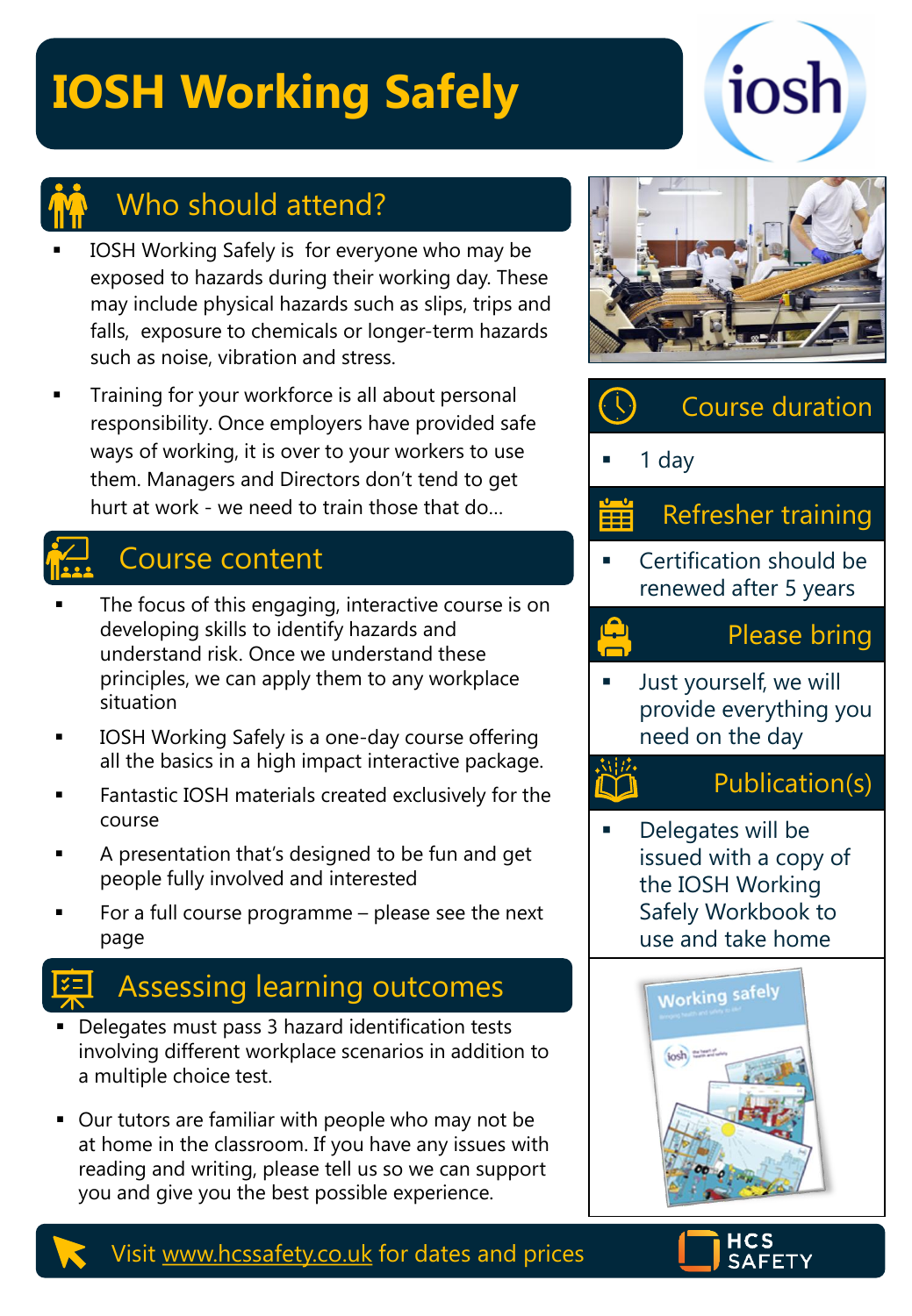# **IOSH Working Safely**



### Who should attend?

- IOSH Working Safely is for everyone who may be exposed to hazards during their working day. These may include physical hazards such as slips, trips and falls, exposure to chemicals or longer-term hazards such as noise, vibration and stress.
- Training for your workforce is all about personal responsibility. Once employers have provided safe ways of working, it is over to your workers to use them. Managers and Directors don't tend to get hurt at work - we need to train those that do…

### $\leftarrow$  Course content

- The focus of this engaging, interactive course is on developing skills to identify hazards and understand risk. Once we understand these principles, we can apply them to any workplace situation
- **IOSH Working Safely is a one-day course offering** all the basics in a high impact interactive package.
- Fantastic IOSH materials created exclusively for the course
- A presentation that's designed to be fun and get people fully involved and interested
- For a full course programme  $-$  please see the next page

### Assessing learning outcomes

- **•** Delegates must pass 3 hazard identification tests involving different workplace scenarios in addition to a multiple choice test.
- Our tutors are familiar with people who may not be at home in the classroom. If you have any issues with reading and writing, please tell us so we can support you and give you the best possible experience.



## Course duration

1 day

 $\frac{\Omega}{\Gamma}$ 

#### Refresher training ËË

Certification should be renewed after 5 years

#### Please bring

Just yourself, we will provide everything you need on the day

### Publication(s)

Delegates will be issued with a copy of the IOSH Working Safely Workbook to use and take home





#### Visit [www.hcssafety.co.uk](http://www.hcssafety.co.uk/) for dates and prices